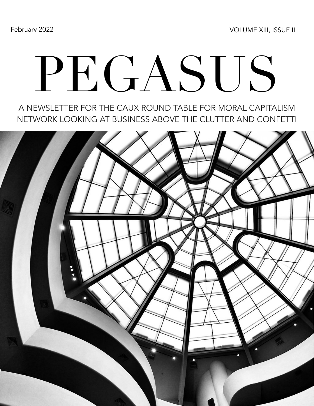February 2022 **VOLUME XIII, ISSUE II** 

# PEGASUS

A NEWSLETTER FOR THE CAUX ROUND TABLE FOR MORAL CAPITALISM NETWORK LOOKING AT BUSINESS ABOVE THE CLUTTER AND CONFETTI

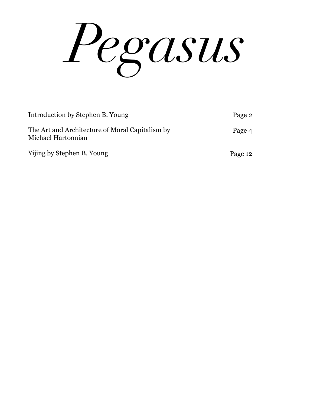*Pegasus*

| Introduction by Stephen B. Young                                      | Page 2  |
|-----------------------------------------------------------------------|---------|
| The Art and Architecture of Moral Capitalism by<br>Michael Hartoonian | Page 4  |
| Yijing by Stephen B. Young                                            | Page 12 |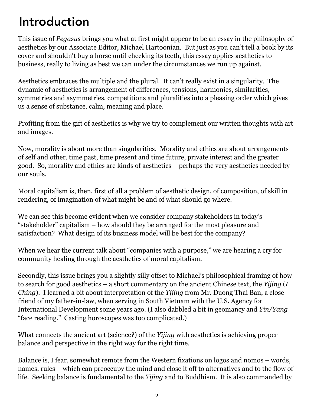## Introduction

This issue of *Pegasus* brings you what at first might appear to be an essay in the philosophy of aesthetics by our Associate Editor, Michael Hartoonian. But just as you can't tell a book by its cover and shouldn't buy a horse until checking its teeth, this essay applies aesthetics to business, really to living as best we can under the circumstances we run up against.

Aesthetics embraces the multiple and the plural. It can't really exist in a singularity. The dynamic of aesthetics is arrangement of differences, tensions, harmonies, similarities, symmetries and asymmetries, competitions and pluralities into a pleasing order which gives us a sense of substance, calm, meaning and place.

Profiting from the gift of aesthetics is why we try to complement our written thoughts with art and images.

Now, morality is about more than singularities. Morality and ethics are about arrangements of self and other, time past, time present and time future, private interest and the greater good. So, morality and ethics are kinds of aesthetics – perhaps the very aesthetics needed by our souls.

Moral capitalism is, then, first of all a problem of aesthetic design, of composition, of skill in rendering, of imagination of what might be and of what should go where.

We can see this become evident when we consider company stakeholders in today's "stakeholder" capitalism – how should they be arranged for the most pleasure and satisfaction? What design of its business model will be best for the company?

When we hear the current talk about "companies with a purpose," we are hearing a cry for community healing through the aesthetics of moral capitalism.

Secondly, this issue brings you a slightly silly offset to Michael's philosophical framing of how to search for good aesthetics – a short commentary on the ancient Chinese text, the *Yijing* (*I Ching*). I learned a bit about interpretation of the *Yijing* from Mr. Duong Thai Ban, a close friend of my father-in-law, when serving in South Vietnam with the U.S. Agency for International Development some years ago. (I also dabbled a bit in geomancy and *Yin/Yang* "face reading." Casting horoscopes was too complicated.)

What connects the ancient art (science?) of the *Yijing* with aesthetics is achieving proper balance and perspective in the right way for the right time.

Balance is, I fear, somewhat remote from the Western fixations on logos and nomos – words, names, rules – which can preoccupy the mind and close it off to alternatives and to the flow of life. Seeking balance is fundamental to the *Yijing* and to Buddhism. It is also commanded by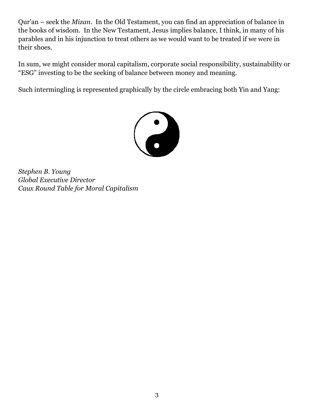Qur'an – seek the *Mizan*. In the Old Testament, you can find an appreciation of balance in the books of wisdom. In the New Testament, Jesus implies balance, I think, in many of his parables and in his injunction to treat others as we would want to be treated if we were in their shoes.

In sum, we might consider moral capitalism, corporate social responsibility, sustainability or "ESG" investing to be the seeking of balance between money and meaning.

Such intermingling is represented graphically by the circle embracing both Yin and Yang:



*Stephen B. Young Global Executive Director Caux Round Table for Moral Capitalism*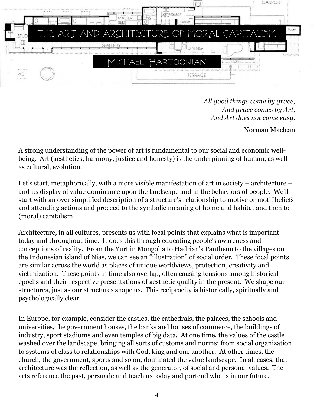

*All good things come by grace, And grace comes by Art, And Art does not come easy.*

Norman Maclean

A strong understanding of the power of art is fundamental to our social and economic wellbeing. Art (aesthetics, harmony, justice and honesty) is the underpinning of human, as well as cultural, evolution.

Let's start, metaphorically, with a more visible manifestation of art in society – architecture – and its display of value dominance upon the landscape and in the behaviors of people. We'll start with an over simplified description of a structure's relationship to motive or motif beliefs and attending actions and proceed to the symbolic meaning of home and habitat and then to (moral) capitalism.

Architecture, in all cultures, presents us with focal points that explains what is important today and throughout time. It does this through educating people's awareness and conceptions of reality. From the Yurt in Mongolia to Hadrian's Pantheon to the villages on the Indonesian island of Nias, we can see an "illustration" of social order. These focal points are similar across the world as places of unique worldviews, protection, creativity and victimization. These points in time also overlap, often causing tensions among historical epochs and their respective presentations of aesthetic quality in the present. We shape our structures, just as our structures shape us. This reciprocity is historically, spiritually and psychologically clear.

In Europe, for example, consider the castles, the cathedrals, the palaces, the schools and universities, the government houses, the banks and houses of commerce, the buildings of industry, sport stadiums and even temples of big data. At one time, the values of the castle washed over the landscape, bringing all sorts of customs and norms; from social organization to systems of class to relationships with God, king and one another. At other times, the church, the government, sports and so on, dominated the value landscape. In all cases, that architecture was the reflection, as well as the generator, of social and personal values. The arts reference the past, persuade and teach us today and portend what's in our future.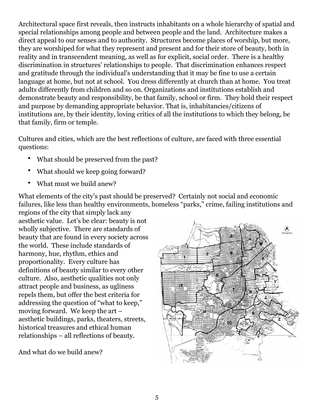Architectural space first reveals, then instructs inhabitants on a whole hierarchy of spatial and special relationships among people and between people and the land. Architecture makes a direct appeal to our senses and to authority. Structures become places of worship, but more, they are worshiped for what they represent and present and for their store of beauty, both in reality and in transcendent meaning, as well as for explicit, social order. There is a healthy discrimination in structures' relationships to people. That discrimination enhances respect and gratitude through the individual's understanding that it may be fine to use a certain language at home, but not at school. You dress differently at church than at home. You treat adults differently from children and so on. Organizations and institutions establish and demonstrate beauty and responsibility, be that family, school or firm. They hold their respect and purpose by demanding appropriate behavior. That is, inhabitancies/citizens of institutions are, by their identity, loving critics of all the institutions to which they belong, be that family, firm or temple.

Cultures and cities, which are the best reflections of culture, are faced with three essential questions:

- What should be preserved from the past?
- What should we keep going forward?
- What must we build anew?

What elements of the city's past should be preserved? Certainly not social and economic failures, like less than healthy environments, homeless "parks," crime, failing institutions and

regions of the city that simply lack any aesthetic value. Let's be clear: beauty is not wholly subjective. There are standards of beauty that are found in every society across the world. These include standards of harmony, hue, rhythm, ethics and proportionality. Every culture has definitions of beauty similar to every other culture. Also, aesthetic qualities not only attract people and business, as ugliness repels them, but offer the best criteria for addressing the question of "what to keep," moving forward. We keep the art – aesthetic buildings, parks, theaters, streets, historical treasures and ethical human relationships – all reflections of beauty.

And what do we build anew?

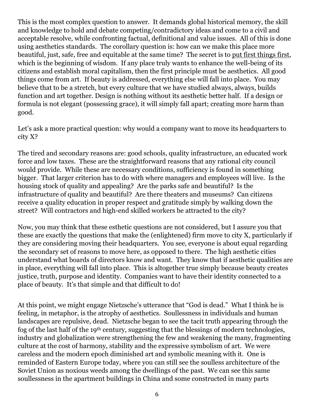This is the most complex question to answer. It demands global historical memory, the skill and knowledge to hold and debate competing/contradictory ideas and come to a civil and acceptable resolve, while confronting factual, definitional and value issues. All of this is done using aesthetics standards. The corollary question is: how can we make this place more beautiful, just, safe, free and equitable at the same time? The secret is to put first things first, which is the beginning of wisdom. If any place truly wants to enhance the well-being of its citizens and establish moral capitalism, then the first principle must be aesthetics. All good things come from art. If beauty is addressed, everything else will fall into place. You may believe that to be a stretch, but every culture that we have studied always, always, builds function and art together. Design is nothing without its aesthetic better half. If a design or formula is not elegant (possessing grace), it will simply fall apart; creating more harm than good.

Let's ask a more practical question: why would a company want to move its headquarters to city X?

The tired and secondary reasons are: good schools, quality infrastructure, an educated work force and low taxes. These are the straightforward reasons that any rational city council would provide. While these are necessary conditions, sufficiency is found in something bigger. That larger criterion has to do with where managers and employees will live. Is the housing stock of quality and appealing? Are the parks safe and beautiful? Is the infrastructure of quality and beautiful? Are there theaters and museums? Can citizens receive a quality education in proper respect and gratitude simply by walking down the street? Will contractors and high-end skilled workers be attracted to the city?

Now, you may think that these esthetic questions are not considered, but I assure you that these are exactly the questions that make the (enlightened) firm move to city X, particularly if they are considering moving their headquarters. You see, everyone is about equal regarding the secondary set of reasons to move here, as opposed to there. The high aesthetic cities understand what boards of directors know and want. They know that if aesthetic qualities are in place, everything will fall into place. This is altogether true simply because beauty creates justice, truth, purpose and identity. Companies want to have their identity connected to a place of beauty. It's that simple and that difficult to do!

At this point, we might engage Nietzsche's utterance that "God is dead." What I think he is feeling, in metaphor, is the atrophy of aesthetics. Soullessness in individuals and human landscapes are repulsive, dead. Nietzsche began to see the tacit truth appearing through the fog of the last half of the 19th century, suggesting that the blessings of modern technologies, industry and globalization were strengthening the few and weakening the many, fragmenting culture at the cost of harmony, stability and the expressive symbolism of art. We were careless and the modern epoch diminished art and symbolic meaning with it. One is reminded of Eastern Europe today, where you can still see the soulless architecture of the Soviet Union as noxious weeds among the dwellings of the past. We can see this same soullessness in the apartment buildings in China and some constructed in many parts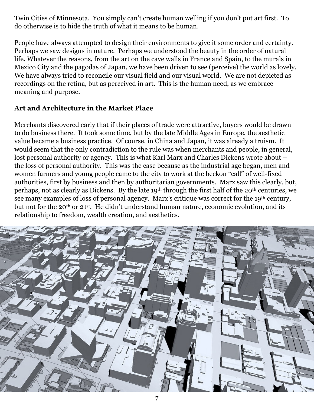Twin Cities of Minnesota. You simply can't create human welling if you don't put art first. To do otherwise is to hide the truth of what it means to be human.

People have always attempted to design their environments to give it some order and certainty. Perhaps we saw designs in nature. Perhaps we understood the beauty in the order of natural life. Whatever the reasons, from the art on the cave walls in France and Spain, to the murals in Mexico City and the pagodas of Japan, we have been driven to see (perceive) the world as lovely. We have always tried to reconcile our visual field and our visual world. We are not depicted as recordings on the retina, but as perceived in art. This is the human need, as we embrace meaning and purpose.

### **Art and Architecture in the Market Place**

Merchants discovered early that if their places of trade were attractive, buyers would be drawn to do business there. It took some time, but by the late Middle Ages in Europe, the aesthetic value became a business practice. Of course, in China and Japan, it was already a truism. It would seem that the only contradiction to the rule was when merchants and people, in general, lost personal authority or agency. This is what Karl Marx and Charles Dickens wrote about – the loss of personal authority. This was the case because as the industrial age began, men and women farmers and young people came to the city to work at the beckon "call" of well-fixed authorities, first by business and then by authoritarian governments. Marx saw this clearly, but, perhaps, not as clearly as Dickens. By the late 19th through the first half of the 20th centuries, we see many examples of loss of personal agency. Marx's critique was correct for the 19<sup>th</sup> century, but not for the 20th or 21st. He didn't understand human nature, economic evolution, and its relationship to freedom, wealth creation, and aesthetics.

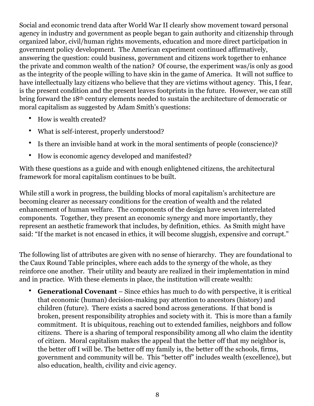Social and economic trend data after World War II clearly show movement toward personal agency in industry and government as people began to gain authority and citizenship through organized labor, civil/human rights movements, education and more direct participation in government policy development. The American experiment continued affirmatively, answering the question: could business, government and citizens work together to enhance the private and common wealth of the nation? Of course, the experiment was/is only as good as the integrity of the people willing to have skin in the game of America. It will not suffice to have intellectually lazy citizens who believe that they are victims without agency. This, I fear, is the present condition and the present leaves footprints in the future. However, we can still bring forward the 18th century elements needed to sustain the architecture of democratic or moral capitalism as suggested by Adam Smith's questions:

- How is wealth created?
- What is self-interest, properly understood?
- Is there an invisible hand at work in the moral sentiments of people (conscience)?
- How is economic agency developed and manifested?

With these questions as a guide and with enough enlightened citizens, the architectural framework for moral capitalism continues to be built.

While still a work in progress, the building blocks of moral capitalism's architecture are becoming clearer as necessary conditions for the creation of wealth and the related enhancement of human welfare. The components of the design have seven interrelated components. Together, they present an economic synergy and more importantly, they represent an aesthetic framework that includes, by definition, ethics. As Smith might have said: "If the market is not encased in ethics, it will become sluggish, expensive and corrupt."

The following list of attributes are given with no sense of hierarchy. They are foundational to the Caux Round Table principles, where each adds to the synergy of the whole, as they reinforce one another. Their utility and beauty are realized in their implementation in mind and in practice. With these elements in place, the institution will create wealth:

• **Generational Covenant** – Since ethics has much to do with perspective, it is critical that economic (human) decision-making pay attention to ancestors (history) and children (future). There exists a sacred bond across generations. If that bond is broken, present responsibility atrophies and society with it. This is more than a family commitment. It is ubiquitous, reaching out to extended families, neighbors and follow citizens. There is a sharing of temporal responsibility among all who claim the identity of citizen. Moral capitalism makes the appeal that the better off that my neighbor is, the better off I will be. The better off my family is, the better off the schools, firms, government and community will be. This "better off" includes wealth (excellence), but also education, health, civility and civic agency.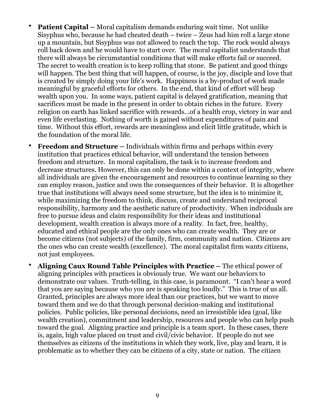- **Patient Capital** Moral capitalism demands enduring wait time. Not unlike Sisyphus who, because he had cheated death – twice – Zeus had him roll a large stone up a mountain, but Sisyphus was not allowed to reach the top. The rock would always roll back down and he would have to start over. The moral capitalist understands that there will always be circumstantial conditions that will make efforts fail or succeed. The secret to wealth creation is to keep rolling that stone. Be patient and good things will happen. The best thing that will happen, of course, is the joy, disciple and love that is created by simply doing your life's work. Happiness is a by-product of work made meaningful by graceful efforts for others. In the end, that kind of effort will heap wealth upon you. In some ways, patient capital is delayed gratification, meaning that sacrifices must be made in the present in order to obtain riches in the future. Every religion on earth has linked sacrifice with rewards...of a health crop, victory in war and even life everlasting. Nothing of worth is gained without expenditures of pain and time. Without this effort, rewards are meaningless and elicit little gratitude, which is the foundation of the moral life.
- **Freedom and Structure** Individuals within firms and perhaps within every institution that practices ethical behavior, will understand the tension between freedom and structure. In moral capitalism, the task is to increase freedom and decrease structures. However, this can only be done within a context of integrity, where all individuals are given the encouragement and resources to continue learning so they can employ reason, justice and own the consequences of their behavior. It is altogether true that institutions will always need some structure, but the idea is to minimize it, while maximizing the freedom to think, discuss, create and understand reciprocal responsibility, harmony and the aesthetic nature of productivity. When individuals are free to pursue ideas and claim responsibility for their ideas and institutional development, wealth creation is always more of a reality. In fact, free, healthy, educated and ethical people are the only ones who can create wealth. They are or become citizens (not subjects) of the family, firm, community and nation. Citizens are the ones who can create wealth (excellence). The moral capitalist firm wants citizens, not just employees.
- **Aligning Caux Round Table Principles with Practice** The ethical power of aligning principles with practices is obviously true. We want our behaviors to demonstrate our values. Truth-telling, in this case, is paramount. "I can't hear a word that you are saying because who you are is speaking too loudly." This is true of us all. Granted, principles are always more ideal than our practices, but we want to move toward them and we do that through personal decision-making and institutional policies. Public policies, like personal decisions, need an irresistible idea (goal, like wealth creation), commitment and leadership, resources and people who can help push toward the goal. Aligning practice and principle is a team sport. In these cases, there is, again, high value placed on trust and civil/civic behavior. If people do not see themselves as citizens of the institutions in which they work, live, play and learn, it is problematic as to whether they can be citizens of a city, state or nation. The citizen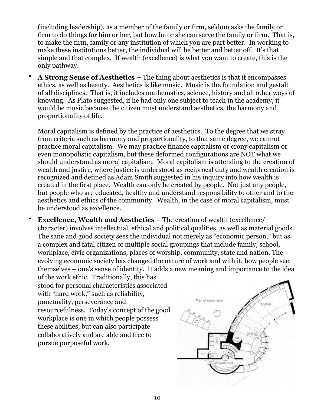(including leadership), as a member of the family or firm, seldom asks the family or firm to do things for him or her, but how he or she can serve the family or firm. That is, to make the firm, family or any institution of which you are part better. In working to make these institutions better, the individual will be better and better off. It's that simple and that complex. If wealth (excellence) is what you want to create, this is the only pathway.

• **A Strong Sense of Aesthetics –** The thing about aesthetics is that it encompasses ethics, as well as beauty. Aesthetics is like music. Music is the foundation and gestalt of all disciplines. That is, it includes mathematics, science, history and all other ways of knowing. As Plato suggested, if he had only one subject to teach in the academy, it would be music because the citizen must understand aesthetics, the harmony and proportionality of life.

Moral capitalism is defined by the practice of aesthetics. To the degree that we stray from criteria such as harmony and proportionality, to that same degree, we cannot practice moral capitalism. We may practice finance capitalism or crony capitalism or even monopolistic capitalism, but these deformed configurations are NOT what we should understand as moral capitalism. Moral capitalism is attending to the creation of wealth and justice, where justice is understood as reciprocal duty and wealth creation is recognized and defined as Adam Smith suggested in his inquiry into how wealth is created in the first place. Wealth can only be created by people. Not just any people, but people who are educated, healthy and understand responsibility to other and to the aesthetics and ethics of the community. Wealth, in the case of moral capitalism, must be understood as excellence.

• **Excellence, Wealth and Aesthetics –** The creation of wealth (excellence/ character) involves intellectual, ethical and political qualities, as well as material goods. The sane and good society sees the individual not merely as "economic person," but as a complex and fatal citizen of multiple social groupings that include family, school, workplace, civic organizations, places of worship, community, state and nation. The evolving economic society has changed the nature of work and with it, how people see themselves – one's sense of identity. It adds a new meaning and importance to the idea

of the work ethic. Traditionally, this has stood for personal characteristics associated with "hard work," such as reliability, punctuality, perseverance and resourcefulness. Today's concept of the good workplace is one in which people possess these abilities, but can also participate collaboratively and are able and free to pursue purposeful work.

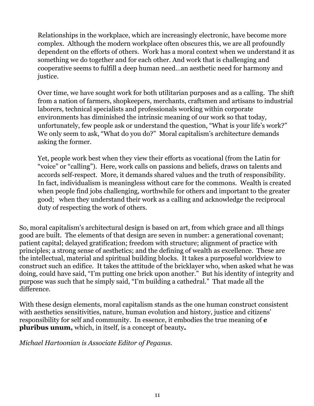Relationships in the workplace, which are increasingly electronic, have become more complex. Although the modern workplace often obscures this, we are all profoundly dependent on the efforts of others. Work has a moral context when we understand it as something we do together and for each other. And work that is challenging and cooperative seems to fulfill a deep human need…an aesthetic need for harmony and justice.

Over time, we have sought work for both utilitarian purposes and as a calling. The shift from a nation of farmers, shopkeepers, merchants, craftsmen and artisans to industrial laborers, technical specialists and professionals working within corporate environments has diminished the intrinsic meaning of our work so that today, unfortunately, few people ask or understand the question, "What is your life's work?" We only seem to ask, "What do you do?" Moral capitalism's architecture demands asking the former.

Yet, people work best when they view their efforts as vocational (from the Latin for "voice" or "calling"). Here, work calls on passions and beliefs, draws on talents and accords self-respect. More, it demands shared values and the truth of responsibility. In fact, individualism is meaningless without care for the commons. Wealth is created when people find jobs challenging, worthwhile for others and important to the greater good; when they understand their work as a calling and acknowledge the reciprocal duty of respecting the work of others.

So, moral capitalism's architectural design is based on art, from which grace and all things good are built. The elements of that design are seven in number: a generational covenant; patient capital; delayed gratification; freedom with structure; alignment of practice with principles; a strong sense of aesthetics; and the defining of wealth as excellence. These are the intellectual, material and spiritual building blocks. It takes a purposeful worldview to construct such an edifice. It takes the attitude of the bricklayer who, when asked what he was doing, could have said, "I'm putting one brick upon another." But his identity of integrity and purpose was such that he simply said, "I'm building a cathedral." That made all the difference.

With these design elements, moral capitalism stands as the one human construct consistent with aesthetics sensitivities, nature, human evolution and history, justice and citizens' responsibility for self and community. In essence, it embodies the true meaning of **e pluribus unum,** which, in itself, is a concept of beauty**.**

*Michael Hartoonian is Associate Editor of Pegasus.*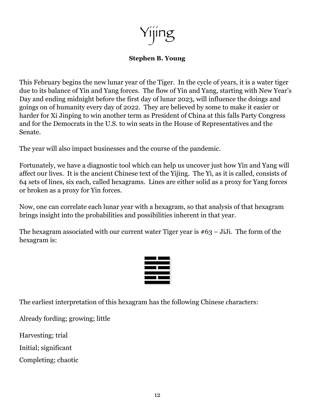Yijing

#### **Stephen B. Young**

This February begins the new lunar year of the Tiger. In the cycle of years, it is a water tiger due to its balance of Yin and Yang forces. The flow of Yin and Yang, starting with New Year's Day and ending midnight before the first day of lunar 2023, will influence the doings and goings on of humanity every day of 2022. They are believed by some to make it easier or harder for Xi Jinping to win another term as President of China at this falls Party Congress and for the Democrats in the U.S. to win seats in the House of Representatives and the Senate.

The year will also impact businesses and the course of the pandemic.

Fortunately, we have a diagnostic tool which can help us uncover just how Yin and Yang will affect our lives. It is the ancient Chinese text of the Yijing. The Yi, as it is called, consists of 64 sets of lines, six each, called hexagrams. Lines are either solid as a proxy for Yang forces or broken as a proxy for Yin forces.

Now, one can correlate each lunar year with a hexagram, so that analysis of that hexagram brings insight into the probabilities and possibilities inherent in that year.

The hexagram associated with our current water Tiger year is  $#63 - J_iJ_i$ . The form of the hexagram is:



The earliest interpretation of this hexagram has the following Chinese characters:

Already fording; growing; little

Harvesting; trial

Initial; significant

Completing; chaotic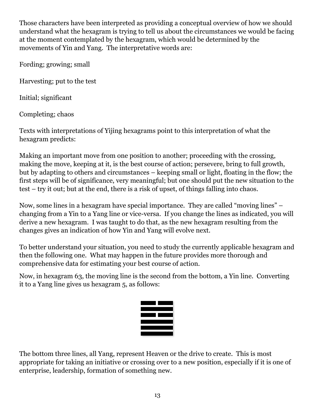Those characters have been interpreted as providing a conceptual overview of how we should understand what the hexagram is trying to tell us about the circumstances we would be facing at the moment contemplated by the hexagram, which would be determined by the movements of Yin and Yang. The interpretative words are:

Fording; growing; small

Harvesting; put to the test

Initial; significant

Completing; chaos

Texts with interpretations of Yijing hexagrams point to this interpretation of what the hexagram predicts:

Making an important move from one position to another; proceeding with the crossing, making the move, keeping at it, is the best course of action; persevere, bring to full growth, but by adapting to others and circumstances – keeping small or light, floating in the flow; the first steps will be of significance, very meaningful; but one should put the new situation to the test – try it out; but at the end, there is a risk of upset, of things falling into chaos.

Now, some lines in a hexagram have special importance. They are called "moving lines" – changing from a Yin to a Yang line or vice-versa. If you change the lines as indicated, you will derive a new hexagram. I was taught to do that, as the new hexagram resulting from the changes gives an indication of how Yin and Yang will evolve next.

To better understand your situation, you need to study the currently applicable hexagram and then the following one. What may happen in the future provides more thorough and comprehensive data for estimating your best course of action.

Now, in hexagram 63, the moving line is the second from the bottom, a Yin line. Converting it to a Yang line gives us hexagram 5, as follows:



The bottom three lines, all Yang, represent Heaven or the drive to create. This is most appropriate for taking an initiative or crossing over to a new position, especially if it is one of enterprise, leadership, formation of something new.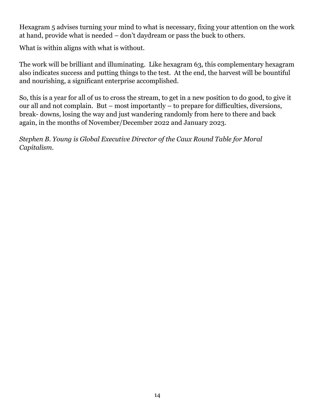Hexagram 5 advises turning your mind to what is necessary, fixing your attention on the work at hand, provide what is needed – don't daydream or pass the buck to others.

What is within aligns with what is without.

The work will be brilliant and illuminating. Like hexagram 63, this complementary hexagram also indicates success and putting things to the test. At the end, the harvest will be bountiful and nourishing, a significant enterprise accomplished.

So, this is a year for all of us to cross the stream, to get in a new position to do good, to give it our all and not complain. But – most importantly – to prepare for difficulties, diversions, break- downs, losing the way and just wandering randomly from here to there and back again, in the months of November/December 2022 and January 2023.

*Stephen B. Young is Global Executive Director of the Caux Round Table for Moral Capitalism.*